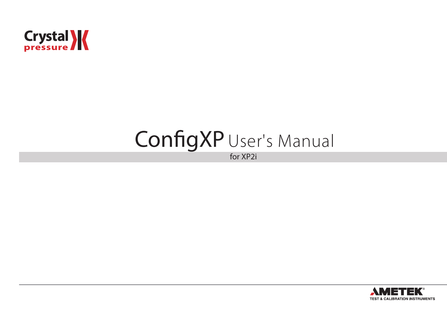

# ConfigXP User's Manual

for XP2i

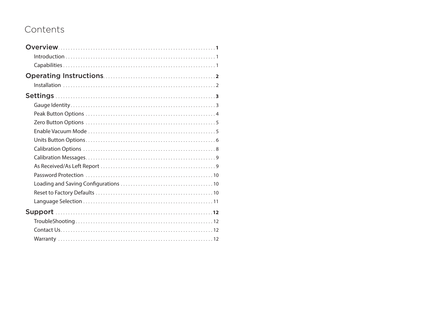# Contents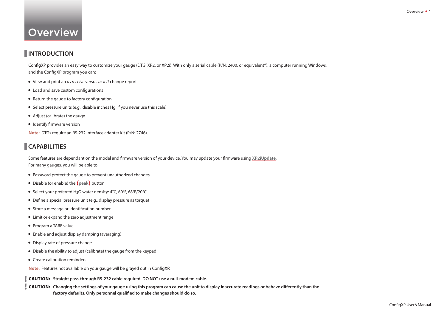# <span id="page-2-0"></span>**Overview**

# **INTRODUCTION**

ConfigXP provides an easy way to customize your gauge (DTG, XP2, or XP2i). With only a serial cable (P/N: 2400, or equivalent\*), a computer running Windows, and the ConfigXP program you can:

- View and print an *as receive* versus *as left* change report
- Load and save custom configurations
- Return the gauge to factory configuration
- Select pressure units (e.g., disable inches Hg, if you never use this scale)
- Adjust (calibrate) the gauge
- Identify firmware version

**Note:** DTGs require an RS-232 interface adapter kit (P/N: 2746).

## **CAPABILITIES**

Some features are dependant on the model and firmware version of your device. You may update your firmware using [XP2iUpdate](http://www.crystalengineering.net/xp2i). For many gauges, you will be able to:

- Password protect the gauge to prevent unauthorized changes
- Disable (or enable) the **(peak)** button
- Select your preferred H2O water density: 4°C, 60°F, 68°F/20°C
- Define a special pressure unit (e.g., display pressure as torque)
- Store a message or identification number
- Limit or expand the zero adjustment range
- Program a TARE value
- Enable and adjust display damping (averaging)
- Display rate of pressure change
- Disable the ability to adjust (calibrate) the gauge from the keypad
- Create calibration reminders

**Note:** Features not available on your gauge will be grayed out in ConfigXP.

 **! CAUTION: Straight pass-through RS-232 cable required. DO NOT use a null-modem cable.**

**CAUTION:** Changing the settings of your gauge using this program can cause the unit to display inaccurate readings or behave differently than the factory defaults. Only personnel qualified to make changes should do so.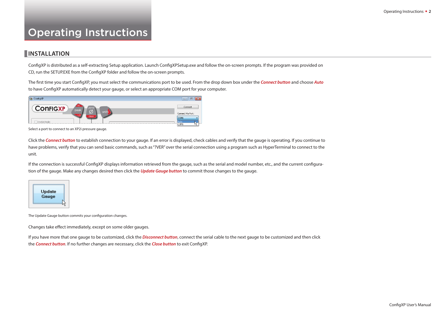# <span id="page-3-0"></span>Operating Instructions

## **INSTALLATION**

ConfigXP is distributed as a self-extracting Setup application. Launch ConfigXPSetup.exe and follow the on-screen prompts. If the program was provided on CD, run the SETUP.EXE from the ConfigXP folder and follow the on-screen prompts.

The first time you start ConfigXP, you must select the communications port to be used. From the drop down box under the **Connect button** and choose Auto to have ConfigXP automatically detect your gauge, or select an appropriate COM port for your computer.



Select a port to connect to an XP2i pressure gauge.

Click the **Connect button** to establish connection to your gauge. If an error is displayed, check cables and verify that the gauge is operating. If you continue to have problems, verify that you can send basic commands, such as "?VER" over the serial connection using a program such as HyperTerminal to connect to the unit.

If the connection is successful ConfigXP displays information retrieved from the gauge, such as the serial and model number, etc., and the current configuration of the gauge. Make any changes desired then click the **Update Gauge button** to commit those changes to the gauge.



The Update Gauge button commits your configuration changes.

Changes take effect immediately, except on some older gauges.

If you have more that one gauge to be customized, click the **Disconnect button**, connect the serial cable to the next gauge to be customized and then click the **Connect button**. If no further changes are necessary, click the **Close button** to exit ConfigXP.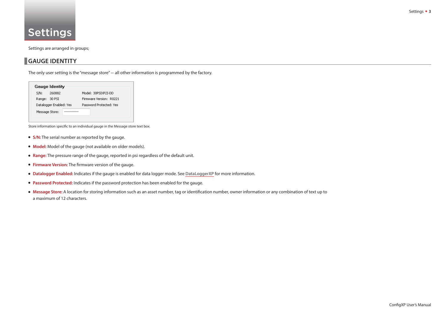# <span id="page-4-0"></span>Settings

Settings are arranged in groups;

## **GAUGE IDENTITY**

The only user setting is the "message store" – all other information is programmed by the factory.

| <b>Gauge Identity</b>   |                         |
|-------------------------|-------------------------|
| S/N:<br>260882          | Model: 30PSIXP2I-DD     |
| Range: 30 PSI           | Firmware Version: R0221 |
| Datalogger Enabled: Yes | Password Protected: Yes |
| Message Store:          |                         |

Store information specific to an individual gauge in the Message store text box.

- **S/N:** The serial number as reported by the gauge.
- **Model:** Model of the gauge (not available on older models).
- **Range:** The pressure range of the gauge, reported in psi regardless of the default unit.
- **Firmware Version:** The firmware version of the gauge.
- **Datalogger Enabled:** Indicates if the gauge is enabled for data logger mode. See **[DataLoggerXP](http://www.crystalengineering.net/dataloggerxp)** for more information.
- **Password Protected:** Indicates if the password protection has been enabled for the gauge.
- Message Store: A location for storing information such as an asset number, tag or identification number, owner information or any combination of text up to a maximum of 12 characters.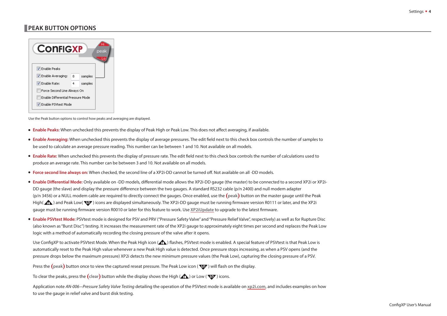# <span id="page-5-0"></span>**PEAK BUTTON OPTIONS**

| <b>CONFIGXP</b><br>peak<br>Lo     |   |         |  |
|-----------------------------------|---|---------|--|
| <b>V</b> Enable Peaks             |   |         |  |
| V Enable Averaging:               | 8 | samples |  |
| V Enable Rate:                    | 4 | samples |  |
| Force Second Line Always On       |   |         |  |
| Enable Differential Pressure Mode |   |         |  |
| T Enable PSVtest Mode             |   |         |  |

Use the Peak button options to control how peaks and averaging are displayed.

- **Enable Peaks:** When unchecked this prevents the display of Peak High or Peak Low. This does not affect averaging, if available.
- **Enable Averaging:** When unchecked this prevents the display of average pressures. The edit field next to this check box controls the number of samples to be used to calculate an average pressure reading. This number can be between 1 and 10. Not available on all models.
- **Enable Rate:** When unchecked this prevents the display of pressure rate. The edit field next to this check box controls the number of calculations used to produce an average rate. This number can be between 3 and 10. Not available on all models.
- **Force second line always on:** When checked, the second line of a XP2i-DD cannot be turned off. Not available on all -DD models.
- **Enable Differential Mode:** Only available on -DD models, differential mode allows the XP2i-DD gauge (the master) to be connected to a second XP2i or XP2i-DD gauge (the slave) and display the pressure difference between the two gauges. A standard RS232 cable (p/n 2400) and null modem adapter (p/n 3456) or a NULL modem cable are required to directly connect the gauges. Once enabled, use the **(peak)** button on the master gauge until the Peak High(  $\bigoplus$ ) and Peak Low(  $\bigoplus$ ) icons are displayed simultaneously. The XP2i-DD gauge must be running firmware version R0111 or later, and the XP2i gauge must be running firmware version R0010 or later for this feature to work. Use [XP2iUpdate](http://www.crystalengineering.net/xp2i) to upgrade to the latest firmware.
- **Enable PSVtest Mode:** PSVtest mode is designed for PSV and PRV ("Pressure Safety Valve" and "Pressure Relief Valve", respectively) as well as for Rupture Disc (also known as "Burst Disc") testing. It increases the measurement rate of the XP2i gauge to approximately eight times per second and replaces the Peak Low logic with a method of automatically recording the closing pressure of the valve after it opens.

Use ConfigXP to activate PSVtest Mode. When the Peak High icon ( $\langle \cdot | \cdot | \cdot \rangle$  flashes. PSVtest mode is enabled. A special feature of PSVtest is that Peak Low is automatically reset to the Peak High value whenever a new Peak High value is detected. Once pressure stops increasing, as when a PSV opens (and the pressure drops below the maximum pressure) XP2i detects the new minimum pressure values (the Peak Low), capturing the closing pressure of a PSV.

Press the (peak) button once to view the captured reseat pressure. The Peak Low icon (WV) will flash on the display.

To clear the peaks, press the  $\left(\text{clear}\right)$  button while the display shows the High  $\left(\text{In}\right)$  or Low ( $\mathbf{\mathbf{\nabla}}$ ) icons.

Application note *AN-006–Pressure Safety Valve Testing* detailing the operation of the PSVtest mode is available on **[xp2i.com](http://www.xp2i.com)**, and includes examples on how to use the gauge in relief valve and burst disk testing.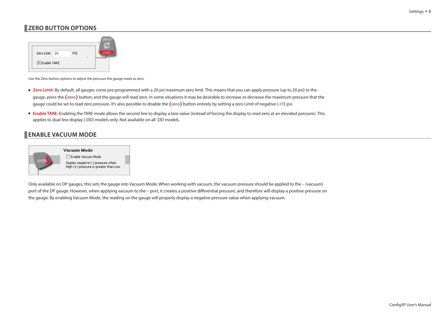# <span id="page-6-0"></span>**ZERO BUTTON OPTIONS**



Use the Zero button options to adjust the pressure the gauge reads as zero.

- **Zero Limit:** By default, all gauges come pre-programmed with a 20 psi maximum zero limit. This means that you can apply pressure (up to 20 psi) to the gauge, press the **(zero)** button, and the gauge will read zero. In some situations it may be desirable to increase or decrease the maximum pressure that the gauge could be set to read zero pressure. It's also possible to disable the **(zero)** button entirely by setting a zero Limit of negative (-)15 psi.
- **Enable TARE:** Enabling the TARE mode allows the second line to display a tare value (instead of forcing the display to read zero at an elevated pressure). This applies to dual line display (-DD) models only. Not available on all -DD models.

# **ENABLE VACUUM MODE**



Only available on DP gauges, this sets the gauge into Vacuum Mode. When working with vacuum, the vacuum pressure should be applied to the – (vacuum) port of the DP gauge. However, when applying vacuum to the – port, it creates a positive differential pressure, and therefore will display a positive pressure on the gauge. By enabling Vacuum Mode, the reading on the gauge will properly display a negative pressure value when applying vacuum.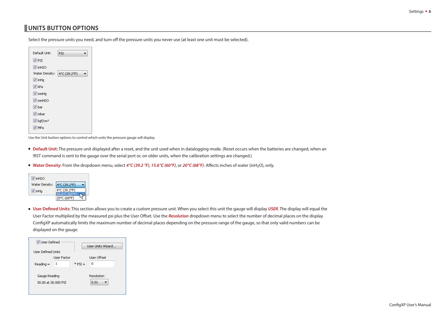# <span id="page-7-0"></span>**UNITS BUTTON OPTIONS**

Select the pressure units you need, and turn off the pressure units you never use (at least one unit must be selected).

| Default Unit:                      | PSI          |  |
|------------------------------------|--------------|--|
| $\nabla$ PSI                       |              |  |
| $\triangledown$ in H <sub>2O</sub> |              |  |
| Water Density:                     | 4°C (39.2°F) |  |
| $\triangledown$ in Hg              |              |  |
| <b>V</b> kPa                       |              |  |
| $\nabla$ mmHg                      |              |  |
| $\triangledown$ mmH <sub>20</sub>  |              |  |
| $\sqrt{}$ bar                      |              |  |
| $\nabla$ mbar                      |              |  |
| $\sqrt{ }$ kgf/cm <sup>2</sup>     |              |  |
| V MPa                              |              |  |

Use the Unit button options to control which units the pressure gauge will display.

- **Default Unit:** The pressure unit displayed after a reset, and the unit used when in datalogging mode. (Reset occurs when the batteries are changed, when an !RST command is sent to the gauge over the serial port or, on older units, when the calibration settings are changed.)
- **Water Density:** From the dropdown menu, select **4 °C (39.2 °F)**, **15.6 °C (60 °F)**, or **20 °C (68 °F)**. Affects inches of water (inH2O), only.

| $\triangledown$ in H <sub>2O</sub> |              |
|------------------------------------|--------------|
| Water Density:                     | 4°C (39.2°F) |
| $V$ in Hq                          | 4°C (39.2°F) |
|                                    | 20°C (68°F)  |
|                                    |              |

• User Defined Units: This section allows you to create a custom pressure unit. When you select this unit the gauge will display *USER*. The display will equal the User Factor multiplied by the measured psi plus the User Offset. Use the Resolution dropdown menu to select the number of decimal places on the display. ConfigXP automatically limits the maximum number of decimal places depending on the pressure range of the gauge, so that only valid numbers can be displayed on the gauge.

| <b>V</b> User Defined                | Hser Hnits Wizard                    |
|--------------------------------------|--------------------------------------|
| <b>User Defined Units</b>            |                                      |
| User Factor<br>$Reading =$           | <b>User Offset</b><br>0<br>$*$ PSI + |
| Gauge Reading<br>30.00 at 30.000 PSI | Resolution<br>0.01                   |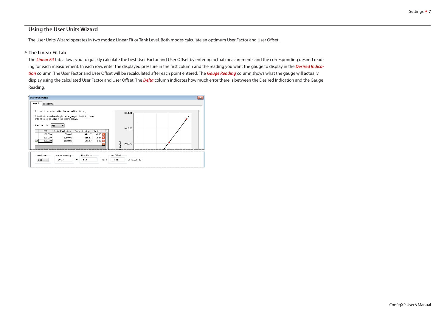#### **Using the User Units Wizard**

The User Units Wizard operates in two modes: Linear Fit or Tank Level. Both modes calculate an optimum User Factor and User Offset.

#### **The Linear Fit tab**

The **Linear Fit** tab allows you to quickly calculate the best User Factor and User Offset by entering actual measurements and the corresponding desired reading for each measurement. In each row, enter the displayed pressure in the first column and the reading you want the gauge to display in the Desired Indica**tion** column. The User Factor and User Offset will be recalculated after each point entered. The **Gauge Reading** column shows what the gauge will actually display using the calculated User Factor and User Offset. The *Delta* column indicates how much error there is between the Desired Indication and the Gauge Reading.

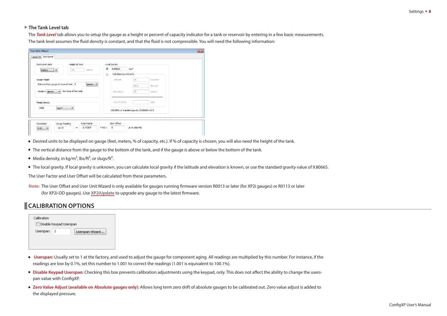#### <span id="page-9-0"></span>**The Tank Level tab**

The **Tank Level** tab allows you to setup the gauge as a height or percent of capacity indicator for a tank or reservoir by entering in a few basic measurements. The tank level assumes the fluid density is constant, and that the fluid is not compressible. You will need the following information:

| meters<br>10<br>meters<br>$\mathbf{v}$                               | $\circledcirc$ | 9.80665                 | m/s <sup>2</sup>                                        |  |
|----------------------------------------------------------------------|----------------|-------------------------|---------------------------------------------------------|--|
|                                                                      |                |                         |                                                         |  |
|                                                                      | $\circ$        | Calculate Local Gravity |                                                         |  |
| Gauge Height                                                         |                | Latitude:               | 35<br>Degrees                                           |  |
| Distance from gauge to base of tank 5<br>meters $\blacktriangledown$ |                |                         | 14.5<br>Minutes                                         |  |
| the base of the tank.<br>Gauge is above<br>$\overline{\phantom{a}}$  |                | Elevation:              | 47<br>meters                                            |  |
|                                                                      |                |                         |                                                         |  |
|                                                                      |                |                         |                                                         |  |
| Media Density                                                        |                | Local Gravity:          | $m/s^2$                                                 |  |
| 1000<br>kg/m <sup>3</sup><br>$\blacktriangledown$                    |                |                         | 100.00% of standard gravity (9.80665 m/s <sup>2</sup> ) |  |
|                                                                      |                |                         |                                                         |  |

- Desired units to be displayed on gauge (feet, meters, % of capacity, etc.). If % of capacity is chosen, you will also need the height of the tank.
- The vertical distance from the gauge to the bottom of the tank, and if the gauge is above or below the bottom of the tank.
- Media density, in  $kg/m^3$ , lbs/ft<sup>3</sup>, or slugs/ft<sup>3</sup>.
- The local gravity. If local gravity is unknown, you can calculate local gravity if the latitude and elevation is known, or use the standard gravity value of 9.80665.

The User Factor and User Offset will be calculated from these parameters.

Note: The User Offset and User Unit Wizard is only available for gauges running firmware version R0013 or later (for XP2i gauges) or R0113 or later (for XP2i-DD gauges). Use [XP2iUpdate](http://www.crystalengineering.net/xp2i) to upgrade any gauge to the latest firmware.

### **CALIBRATION OPTIONS**

| Calibration |                         |                 |
|-------------|-------------------------|-----------------|
|             | Disable Keypad Userspan |                 |
| Userspan:   |                         | Userspan Wizard |
|             |                         |                 |
|             |                         |                 |

- **Userspan:** Usually set to 1 at the factory, and used to adjust the gauge for component aging. All readings are multiplied by this number. For instance, if the readings are low by 0.1%, set this number to 1.001 to correct the readings (1.001 is equivalent to 100.1%).
- **Disable Keypad Userspan:** Checking this box prevents calibration adjustments using the keypad, only. This does not affect the ability to change the userspan value with ConfigXP.
- **Zero Value Adjust (available on Absolute gauges only):** Allows long term zero drift of absolute gauges to be calibrated out. Zero value adjust is added to the displayed pressure.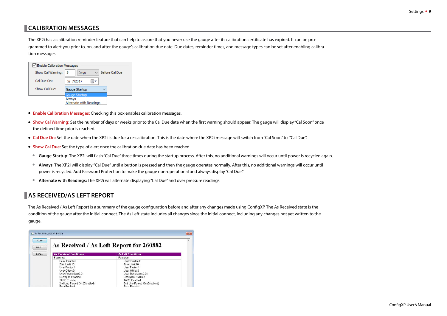# <span id="page-10-0"></span>   **CALIBRATION MESSAGES**

The XP2i has a calibration reminder feature that can help to assure that you never use the gauge after its calibration certificate has expired. It can be programmed to alert you prior to, on, and after the gauge's calibration due date. Due dates, reminder times, and message types can be set after enabling calibration messages.

| √ Enable Calibration Messages |                                   |  |  |
|-------------------------------|-----------------------------------|--|--|
| Show Cal Warning:             | Before Cal Due<br>5<br>Days       |  |  |
| Cal Due On:                   | 5/ 7/2017                         |  |  |
| Show Cal Due:                 | Gauge Startup                     |  |  |
|                               | Gauge Startup                     |  |  |
|                               | Always<br>Alternate with Readings |  |  |

- **• Enable Calibration Messages:** Checking this box enables calibration messages.
- **• Show Cal Warning:** Set the number of days or weeks prior to the Cal Due date when the first warning should appear. The gauge will display "Cal Soon" once the defined time prior is reached.
- **• Cal Due On:** Set the date when the XP2i is due for a re-calibration. This is the date where the XP2i message will switch from "Cal Soon" to "Cal Due".
- **• Show Cal Due:** Set the type of alert once the calibration due date has been reached.
- **• Gauge Startup:** The XP2i will flash "Cal Due" three times during the startup process. After this, no additional warnings will occur until power is recycled again.
- **• Always:** The XP2i will display "Cal Due" until a button is pressed and then the gauge operates normally. After this, no additional warnings will occur until power is recycled. Add Password Protection to make the gauge non-operational and always display "Cal Due."
- **• Alternate with Readings:** The XP2i will alternate displaying "Cal Due" and over pressure readings.

# **AS RECEIVED/AS LEFT REPORT**

The As Received / As Left Report is a summary of the gauge configuration before and after any changes made using ConfigXP. The As Received state is the condition of the gauge after the initial connect. The As Left state includes all changes since the initial connect, including any changes not yet written to the gauge.

| As Received/As Left Report    |                                         | $-25$ |
|-------------------------------|-----------------------------------------|-------|
|                               | As Received / As Left Report for 260882 |       |
| <b>As Received Conditions</b> | <b>As Left Conditions</b>               |       |
| Features:                     | Features:                               |       |
| Peak Enabled                  | Peak Enabled                            |       |
| Zero Limit:10                 | Zero Limit: 10                          |       |
| <b>Liser Factor.1</b>         | User Factor.1                           |       |
| User Offset:0                 | User Offset:0                           |       |
| Liser Resolution 0.01         | <b>Liser Resolution 0.01</b>            |       |
| Userspan Enabled              | Userspan Enabled                        |       |
| <b>TARE Enabled</b>           | <b>TARE Enabled</b>                     |       |
| 2nd Line Forced On (Disabled) | 2nd Line Forced On (Disabled)           |       |
| Rate Enghled                  | <b>Rate Enabled</b>                     |       |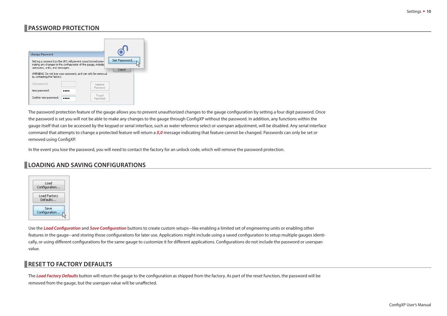# <span id="page-11-0"></span>**PASSWORD PROTECTION**

| Change Password<br>Set Password.<br>Setting a password on the XP2i will prevent unauthorized users<br>making any changes to the configuration of the gauge, includin<br>userspans, units, and messages.<br>Cancel<br>WARNING: Do not lose your password, as it can only be removed<br>by contacting the factory.<br>Old password:<br>Remove<br>Password<br>New password:<br>Forgot<br>Confirm new password:<br>Password |  |
|-------------------------------------------------------------------------------------------------------------------------------------------------------------------------------------------------------------------------------------------------------------------------------------------------------------------------------------------------------------------------------------------------------------------------|--|
|-------------------------------------------------------------------------------------------------------------------------------------------------------------------------------------------------------------------------------------------------------------------------------------------------------------------------------------------------------------------------------------------------------------------------|--|

The password protection feature of the gauge allows you to prevent unauthorized changes to the gauge configuration by setting a four digit password. Once the password is set you will not be able to make any changes to the gauge through ConfigXP without the password. In addition, any functions within the gauge itself that can be accessed by the keypad or serial interface, such as water reference select or userspan adjustment, will be disabled. Any serial interface command that attempts to change a protected feature will return a **X,0** message indicating that feature cannot be changed. Passwords can only be set or removed using ConfigXP.

In the event you lose the password, you will need to contact the factory for an unlock code, which will remove the password protection.

## **LOADING AND SAVING CONFIGURATIONS**



Use the Load Configuration and Save Configuration buttons to create custom setups-like enabling a limited set of engineering units or enabling other features in the gauge—and storing those configurations for later use. Applications might include using a saved configuration to setup multiple gauges identically, or using different configurations for the same gauge to customize it for different applications. Configurations do not include the password or userspan value.

# **RESET TO FACTORY DEFAULTS**

The Load Factory Defaults button will return the gauge to the configuration as shipped from the factory. As part of the reset function, the password will be removed from the gauge, but the userspan value will be unaffected.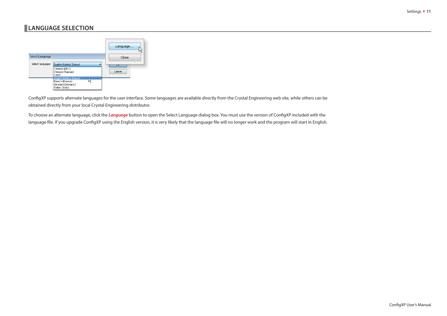# <span id="page-12-0"></span>**LANGUAGE SELECTION**



ConfigXP supports alternate languages for the user interface. Some languages are available directly from the Crystal Engineering web site, while others can be obtained directly from your local Crystal Engineering distributor.

To choose an alternate language, click the *Language* button to open the Select Language dialog box. You must use the version of ConfigXP included with the language file. If you upgrade ConfigXP using the English version, it is very likely that the language file will no longer work and the program will start in English.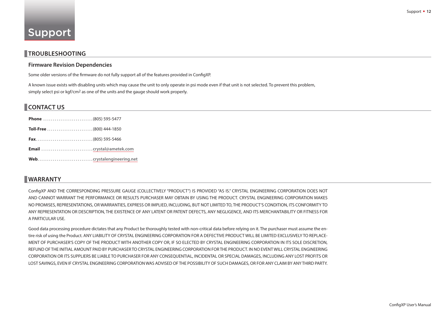## <span id="page-13-0"></span>**TROUBLESHOOTING**

#### **Firmware Revision Dependencies**

Some older versions of the firmware do not fully support all of the features provided in ConfigXP.

A known issue exists with disabling units which may cause the unit to only operate in psi mode even if that unit is not selected. To prevent this problem, simply select psi or  $kgf/cm^2$  as one of the units and the gauge should work properly.

# **CONTACT US**

## **WARRANTY**

ConfigXP AND THE CORRESPONDING PRESSURE GAUGE (COLLECTIVELY "PRODUCT") IS PROVIDED "AS IS." CRYSTAL ENGINEERING CORPORATION DOES NOT AND CANNOT WARRANT THE PERFORMANCE OR RESULTS PURCHASER MAY OBTAIN BY USING THE PRODUCT. CRYSTAL ENGINEERING CORPORATION MAKES NO PROMISES, REPRESENTATIONS, OR WARRANTIES, EXPRESS OR IMPLIED, INCLUDING, BUT NOT LIMITED TO, THE PRODUCT'S CONDITION, ITS CONFORMITY TO ANY REPRESENTATION OR DESCRIPTION, THE EXISTENCE OF ANY LATENT OR PATENT DEFECTS, ANY NEGLIGENCE, AND ITS MERCHANTABILITY OR FITNESS FOR A PARTICULAR USE.

Good data processing procedure dictates that any Product be thoroughly tested with non-critical data before relying on it. The purchaser must assume the entire risk of using the Product. ANY LIABILITY OF CRYSTAL ENGINEERING CORPORATION FOR A DEFECTIVE PRODUCT WILL BE LIMITED EXCLUSIVELY TO REPLACE-MENT OF PURCHASER'S COPY OF THE PRODUCT WITH ANOTHER COPY OR, IF SO ELECTED BY CRYSTAL ENGINEERING CORPORATION IN ITS SOLE DISCRETION, REFUND OF THE INITIAL AMOUNT PAID BY PURCHASER TO CRYSTAL ENGINEERING CORPORATION FOR THE PRODUCT. IN NO EVENT WILL CRYSTAL ENGINEERING CORPORATION OR ITS SUPPLIERS BE LIABLE TO PURCHASER FOR ANY CONSEQUENTIAL, INCIDENTAL OR SPECIAL DAMAGES, INCLUDING ANY LOST PROFITS OR LOST SAVINGS, EVEN IF CRYSTAL ENGINEERING CORPORATION WAS ADVISED OF THE POSSIBILITY OF SUCH DAMAGES, OR FOR ANY CLAIM BY ANY THIRD PARTY.